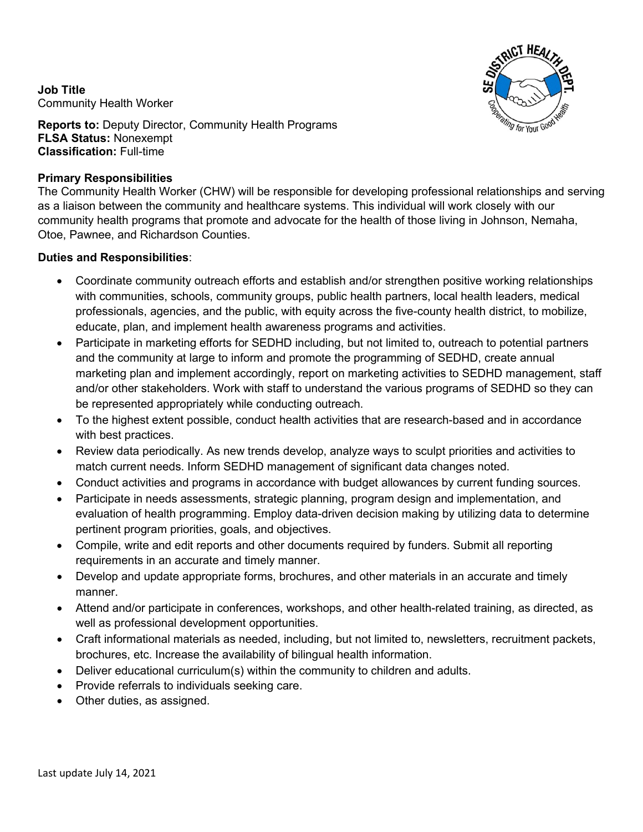**Job Title** Community Health Worker



**Reports to:** Deputy Director, Community Health Programs **FLSA Status:** Nonexempt **Classification:** Full-time

## **Primary Responsibilities**

The Community Health Worker (CHW) will be responsible for developing professional relationships and serving as a liaison between the community and healthcare systems. This individual will work closely with our community health programs that promote and advocate for the health of those living in Johnson, Nemaha, Otoe, Pawnee, and Richardson Counties.

## **Duties and Responsibilities**:

- Coordinate community outreach efforts and establish and/or strengthen positive working relationships with communities, schools, community groups, public health partners, local health leaders, medical professionals, agencies, and the public, with equity across the five-county health district, to mobilize, educate, plan, and implement health awareness programs and activities.
- Participate in marketing efforts for SEDHD including, but not limited to, outreach to potential partners and the community at large to inform and promote the programming of SEDHD, create annual marketing plan and implement accordingly, report on marketing activities to SEDHD management, staff and/or other stakeholders. Work with staff to understand the various programs of SEDHD so they can be represented appropriately while conducting outreach.
- To the highest extent possible, conduct health activities that are research-based and in accordance with best practices.
- Review data periodically. As new trends develop, analyze ways to sculpt priorities and activities to match current needs. Inform SEDHD management of significant data changes noted.
- Conduct activities and programs in accordance with budget allowances by current funding sources.
- Participate in needs assessments, strategic planning, program design and implementation, and evaluation of health programming. Employ data-driven decision making by utilizing data to determine pertinent program priorities, goals, and objectives.
- Compile, write and edit reports and other documents required by funders. Submit all reporting requirements in an accurate and timely manner.
- Develop and update appropriate forms, brochures, and other materials in an accurate and timely manner.
- Attend and/or participate in conferences, workshops, and other health-related training, as directed, as well as professional development opportunities.
- Craft informational materials as needed, including, but not limited to, newsletters, recruitment packets, brochures, etc. Increase the availability of bilingual health information.
- Deliver educational curriculum(s) within the community to children and adults.
- Provide referrals to individuals seeking care.
- Other duties, as assigned.